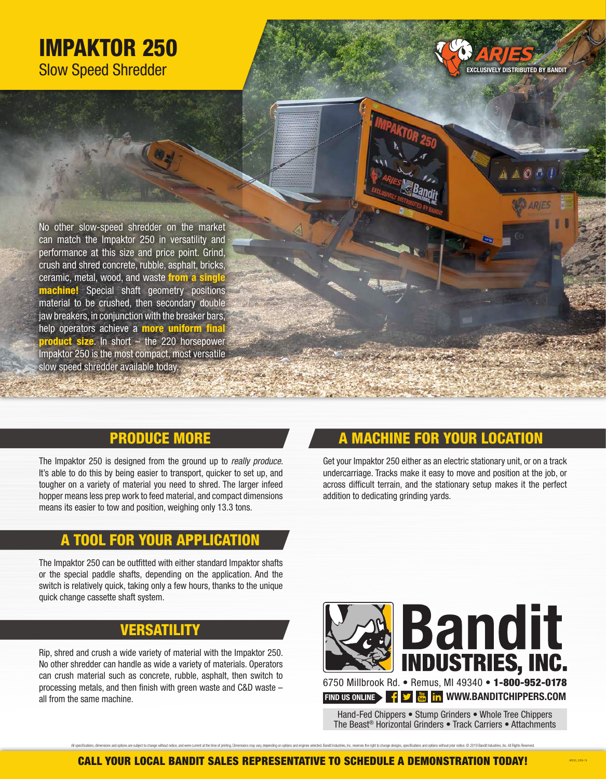# IMPAKTOR 250 Slow Speed Shredder



O 仍

No other slow-speed shredder on the market can match the Impaktor 250 in versatility and performance at this size and price point. Grind, crush and shred concrete, rubble, asphalt, bricks, ceramic, metal, wood, and waste from a single **machine!** Special shaft geometry positions material to be crushed, then secondary double jaw breakers, in conjunction with the breaker bars, help operators achieve a **more uniform fina product size.** In short – the 220 horsepower Impaktor 250 is the most compact, most versatile slow speed shredder available today.

# PRODUCE MORE

The Impaktor 250 is designed from the ground up to *really produce*. It's able to do this by being easier to transport, quicker to set up, and tougher on a variety of material you need to shred. The larger infeed hopper means less prep work to feed material, and compact dimensions means its easier to tow and position, weighing only 13.3 tons.

### A TOOL FOR YOUR APPLICATIO

The Impaktor 250 can be outfitted with either standard Impaktor shafts or the special paddle shafts, depending on the application. And the switch is relatively quick, taking only a few hours, thanks to the unique quick change cassette shaft system.

# VERSATILITY

Rip, shred and crush a wide variety of material with the Impaktor 250. No other shredder can handle as wide a variety of materials. Operators can crush material such as concrete, rubble, asphalt, then switch to processing metals, and then finish with green waste and C&D waste – all from the same machine.

# **MACHINE FOR YOUR LOCATION**

Get your Impaktor 250 either as an electric stationary unit, or on a track undercarriage. Tracks make it easy to move and position at the job, or across difficult terrain, and the stationary setup makes it the perfect addition to dedicating grinding yards.



Hand-Fed Chippers • Stump Grinders • Whole Tree Chippers The Beast® Horizontal Grinders • Track Carriers • Attachments

AR250\_2269-19